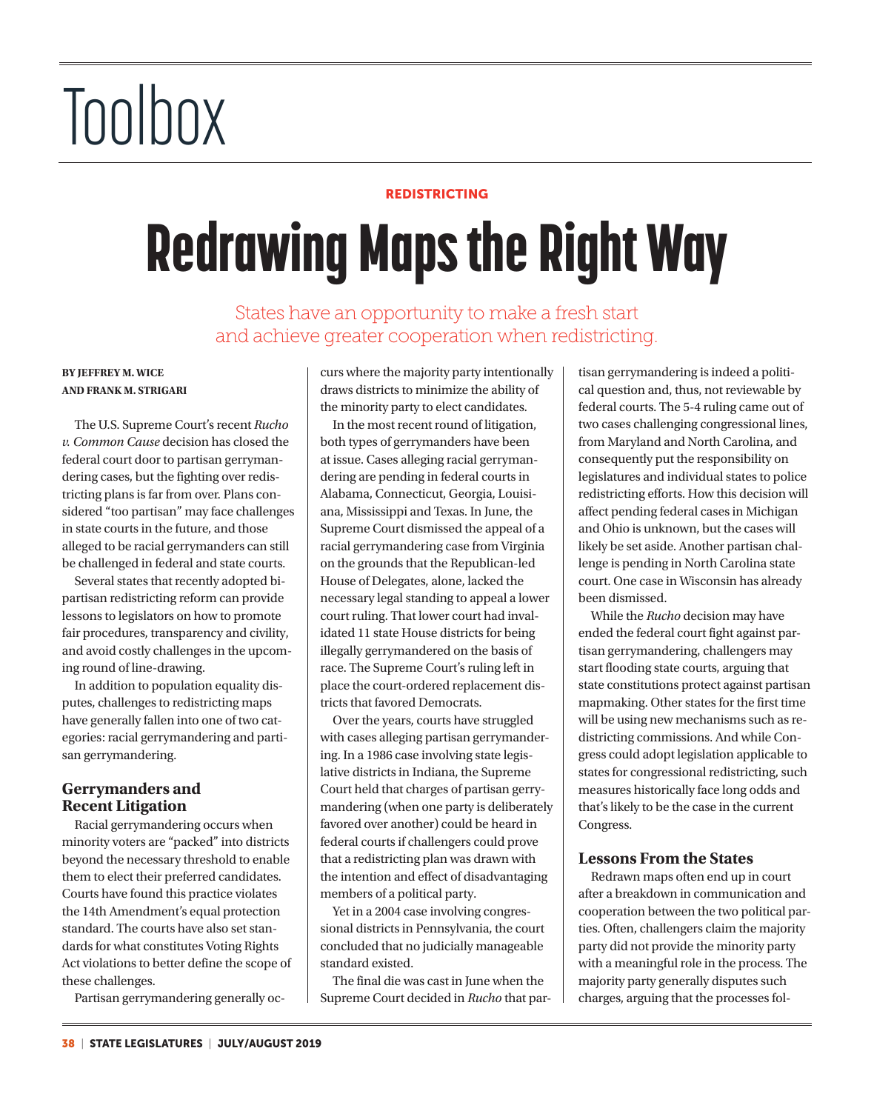# Toolbox

#### REDISTRICTING

# Redrawing Maps the Right Way

States have an opportunity to make a fresh start and achieve greater cooperation when redistricting.

#### **BY JEFFREY M. WICE AND FRANK M. STRIGARI**

The U.S. Supreme Court's recent *Rucho v. Common Cause* decision has closed the federal court door to partisan gerrymandering cases, but the fighting over redistricting plans is far from over. Plans considered "too partisan" may face challenges in state courts in the future, and those alleged to be racial gerrymanders can still be challenged in federal and state courts.

Several states that recently adopted bipartisan redistricting reform can provide lessons to legislators on how to promote fair procedures, transparency and civility, and avoid costly challenges in the upcoming round of line-drawing.

In addition to population equality disputes, challenges to redistricting maps have generally fallen into one of two categories: racial gerrymandering and partisan gerrymandering.

# **Gerrymanders and Recent Litigation**

Racial gerrymandering occurs when minority voters are "packed" into districts beyond the necessary threshold to enable them to elect their preferred candidates. Courts have found this practice violates the 14th Amendment's equal protection standard. The courts have also set standards for what constitutes Voting Rights Act violations to better define the scope of these challenges.

Partisan gerrymandering generally oc-

curs where the majority party intentionally draws districts to minimize the ability of the minority party to elect candidates.

In the most recent round of litigation, both types of gerrymanders have been at issue. Cases alleging racial gerrymandering are pending in federal courts in Alabama, Connecticut, Georgia, Louisiana, Mississippi and Texas. In June, the Supreme Court dismissed the appeal of a racial gerrymandering case from Virginia on the grounds that the Republican-led House of Delegates, alone, lacked the necessary legal standing to appeal a lower court ruling. That lower court had invalidated 11 state House districts for being illegally gerrymandered on the basis of race. The Supreme Court's ruling left in place the court-ordered replacement districts that favored Democrats.

Over the years, courts have struggled with cases alleging partisan gerrymandering. In a 1986 case involving state legislative districts in Indiana, the Supreme Court held that charges of partisan gerrymandering (when one party is deliberately favored over another) could be heard in federal courts if challengers could prove that a redistricting plan was drawn with the intention and effect of disadvantaging members of a political party.

Yet in a 2004 case involving congressional districts in Pennsylvania, the court concluded that no judicially manageable standard existed.

The final die was cast in June when the Supreme Court decided in *Rucho* that par-

tisan gerrymandering is indeed a political question and, thus, not reviewable by federal courts. The 5-4 ruling came out of two cases challenging congressional lines, from Maryland and North Carolina, and consequently put the responsibility on legislatures and individual states to police redistricting efforts. How this decision will affect pending federal cases in Michigan and Ohio is unknown, but the cases will likely be set aside. Another partisan challenge is pending in North Carolina state court. One case in Wisconsin has already been dismissed.

While the *Rucho* decision may have ended the federal court fight against partisan gerrymandering, challengers may start flooding state courts, arguing that state constitutions protect against partisan mapmaking. Other states for the first time will be using new mechanisms such as redistricting commissions. And while Congress could adopt legislation applicable to states for congressional redistricting, such measures historically face long odds and that's likely to be the case in the current Congress.

## **Lessons From the States**

Redrawn maps often end up in court after a breakdown in communication and cooperation between the two political parties. Often, challengers claim the majority party did not provide the minority party with a meaningful role in the process. The majority party generally disputes such charges, arguing that the processes fol-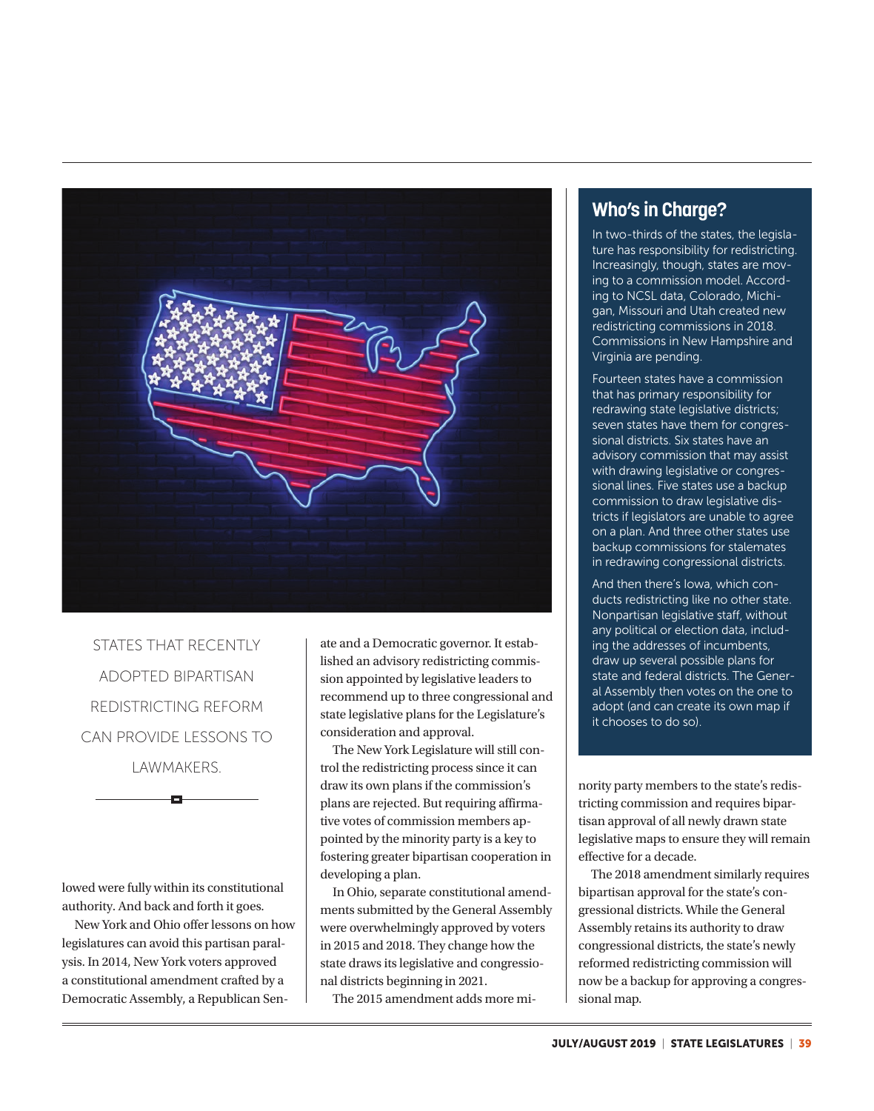

STATES THAT RECENTLY ADOPTED BIPARTISAN REDISTRICTING REFORM CAN PROVIDE LESSONS TO LAWMAKERS.

lowed were fully within its constitutional authority. And back and forth it goes.

New York and Ohio offer lessons on how legislatures can avoid this partisan paralysis. In 2014, New York voters approved a constitutional amendment crafted by a Democratic Assembly, a Republican Sen-

ate and a Democratic governor. It established an advisory redistricting commission appointed by legislative leaders to recommend up to three congressional and state legislative plans for the Legislature's consideration and approval.

The New York Legislature will still control the redistricting process since it can draw its own plans if the commission's plans are rejected. But requiring affirmative votes of commission members appointed by the minority party is a key to fostering greater bipartisan cooperation in developing a plan.

In Ohio, separate constitutional amendments submitted by the General Assembly were overwhelmingly approved by voters in 2015 and 2018. They change how the state draws its legislative and congressional districts beginning in 2021.

The 2015 amendment adds more mi-

# **Who's in Charge?**

In two-thirds of the states, the legislature has responsibility for redistricting. Increasingly, though, states are moving to a commission model. According to NCSL data, Colorado, Michigan, Missouri and Utah created new redistricting commissions in 2018. Commissions in New Hampshire and Virginia are pending.

Fourteen states have a commission that has primary responsibility for redrawing state legislative districts; seven states have them for congressional districts. Six states have an advisory commission that may assist with drawing legislative or congressional lines. Five states use a backup commission to draw legislative districts if legislators are unable to agree on a plan. And three other states use backup commissions for stalemates in redrawing congressional districts.

And then there's Iowa, which conducts redistricting like no other state. Nonpartisan legislative staff, without any political or election data, including the addresses of incumbents, draw up several possible plans for state and federal districts. The General Assembly then votes on the one to adopt (and can create its own map if it chooses to do so).

nority party members to the state's redistricting commission and requires bipartisan approval of all newly drawn state legislative maps to ensure they will remain effective for a decade.

The 2018 amendment similarly requires bipartisan approval for the state's congressional districts. While the General Assembly retains its authority to draw congressional districts, the state's newly reformed redistricting commission will now be a backup for approving a congressional map.